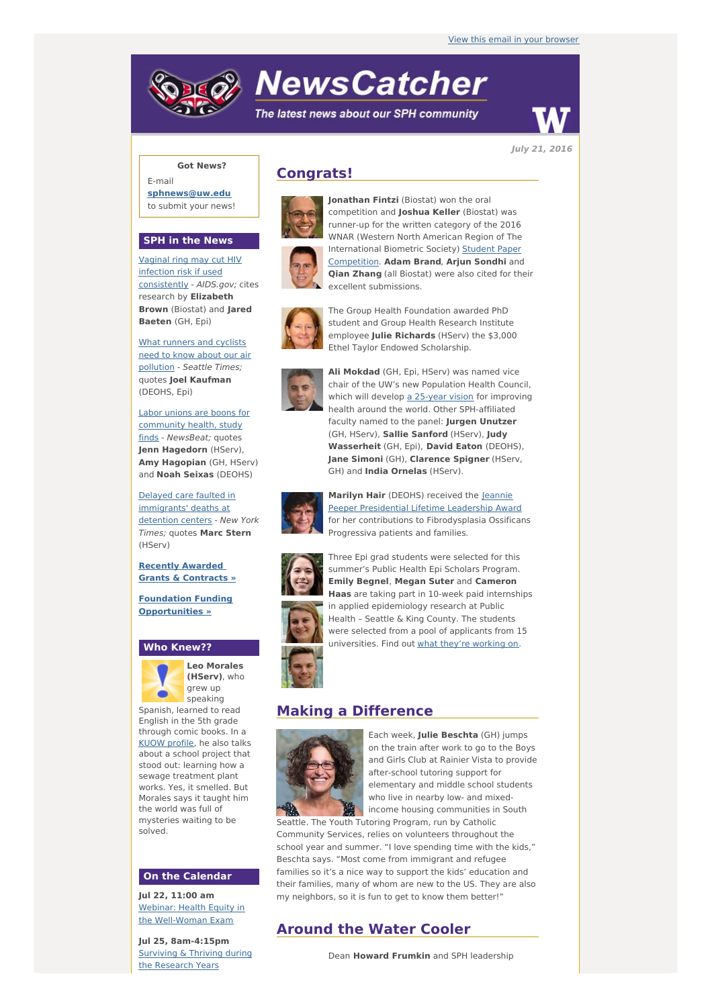# **NewsCatcher**

The latest news about our SPH community



**July 21, 2016**

## **Got News?**

E-mail **[sphnews@uw.edu](mailto:sphnews@uw.edu)** to submit your news!

### **SPH in the News**

Vaginal ring may cut HIV infection risk if used [consistently](http://engage.washington.edu/site/R?i=s8qV8v4967kuXAIz0cBmyw) - AIDS.gov; cites research by **Elizabeth Brown** (Biostat) and **Jared Baeten** (GH, Epi)

What runners and cyclists need to know about our air [pollution](http://engage.washington.edu/site/R?i=NQIowA1Q7cqT8POBfA0FOg) - Seattle Times; quotes **Joel Kaufman** (DEOHS, Epi)

Labor unions are boons for [community](http://engage.washington.edu/site/R?i=t5Q8zZTnL03Da4HtZkkjEA) health, study finds - NewsBeat; quotes **Jenn Hagedorn** (HServ), **Amy Hagopian** (GH, HServ) and **Noah Seixas** (DEOHS)

Delayed care faulted in [immigrants'](http://engage.washington.edu/site/R?i=2O8wvg8k6qXkl7XguYSVBQ) deaths at detention centers - New York Times; quotes **Marc Stern** (HServ)

**Recently Awarded Grants & [Contracts](http://engage.washington.edu/site/R?i=8gWcjuMhCmauaJ3KLo1usQ) »**

**Foundation Funding [Opportunities](http://engage.washington.edu/site/R?i=oWoeUdDas_UtfX2QUHMTJg) »**

#### **Who Knew??**



**Leo Morales (HServ)**, who grew up speaking

Spanish, learned to read English in the 5th grade through comic books. In a KUOW [profile](http://engage.washington.edu/site/R?i=-fNkBfg8zoDQhXtep40m8Q), he also talks about a school project that stood out: learning how a sewage treatment plant works. Yes, it smelled. But Morales says it taught him the world was full of mysteries waiting to be solved.

#### **On the Calendar**

**Jul 22, 11:00 am** Webinar: Health Equity in the [Well-Woman](http://engage.washington.edu/site/R?i=2wXMN7C98FdnPqQKz_ANfQ) Exam

**Jul 25, 8am-4:15pm** [Surviving](http://engage.washington.edu/site/R?i=dnb3237fgHwECthtb5ofXA) & Thriving during the Research Years







runner-up for the written category of the 2016 WNAR (Western North American Region of The [International](http://engage.washington.edu/site/R?i=0n-ysHFqK7oEEPd0x72g6Q) Biometric Society) Student Paper Competition. **Adam Brand**, **Arjun Sondhi** and **Qian Zhang** (all Biostat) were also cited for their excellent submissions.



The Group Health Foundation awarded PhD student and Group Health Research Institute employee **Julie Richards** (HServ) the \$3,000 Ethel Taylor Endowed Scholarship.



**Ali Mokdad** (GH, Epi, HServ) was named vice chair of the UW's new Population Health Council, which will develop a [25-year](http://engage.washington.edu/site/R?i=Gn5QMGvh8nYjfIrXJVGtvw) vision for improving health around the world. Other SPH-affiliated faculty named to the panel: **Jurgen Unutzer** (GH, HServ), **Sallie Sanford** (HServ), **Judy Wasserheit** (GH, Epi), **David Eaton** (DEOHS), **Jane Simoni** (GH), **Clarence Spigner** (HServ, GH) and **India Ornelas** (HServ).



**Marilyn Hair** (DEOHS) received the Jeannie Peeper [Presidential](http://engage.washington.edu/site/R?i=c6PsbMc8rywbvVVVKqzv2g) Lifetime Leadership Award for her contributions to Fibrodysplasia Ossificans Progressiva patients and families.



Three Epi grad students were selected for this summer's Public Health Epi Scholars Program. **Emily Begnel**, **Megan Suter** and **Cameron Haas** are taking part in 10-week paid internships in applied epidemiology research at Public Health – Seattle & King County. The students were selected from a pool of applicants from 15 universities. Find out what they're [working](http://engage.washington.edu/site/R?i=FvUkuY4n12wRFiFyVNdAmA) on.

## **Making a Difference**



Each week, **Julie Beschta** (GH) jumps on the train after work to go to the Boys and Girls Club at Rainier Vista to provide after-school tutoring support for elementary and middle school students who live in nearby low- and mixedincome housing communities in South

Seattle. The Youth Tutoring Program, run by Catholic Community Services, relies on volunteers throughout the school year and summer. "I love spending time with the kids," Beschta says. "Most come from immigrant and refugee families so it's a nice way to support the kids' education and their families, many of whom are new to the US. They are also my neighbors, so it is fun to get to know them better!"

## **Around the Water Cooler**

Dean **Howard Frumkin** and SPH leadership